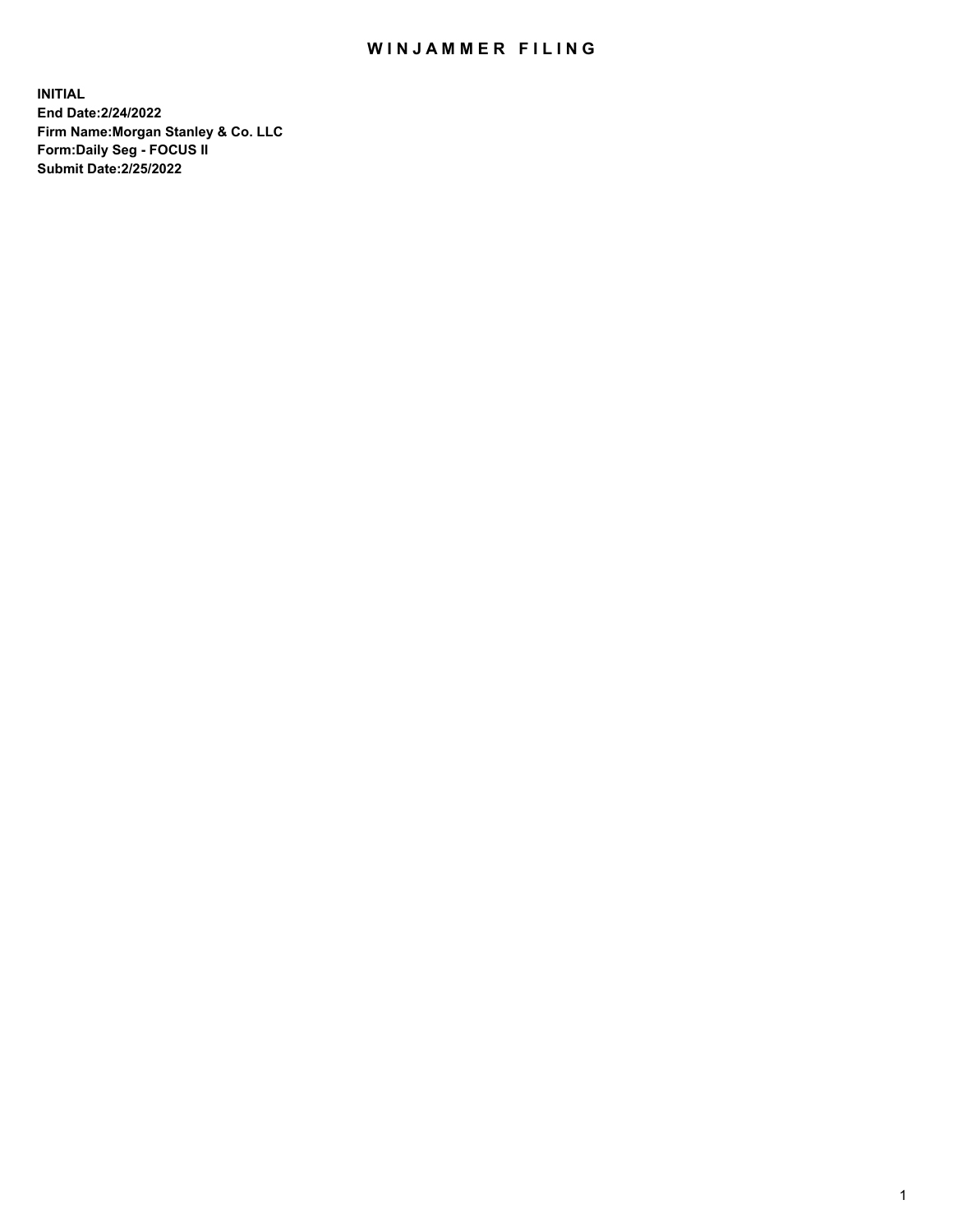## WIN JAMMER FILING

**INITIAL End Date:2/24/2022 Firm Name:Morgan Stanley & Co. LLC Form:Daily Seg - FOCUS II Submit Date:2/25/2022**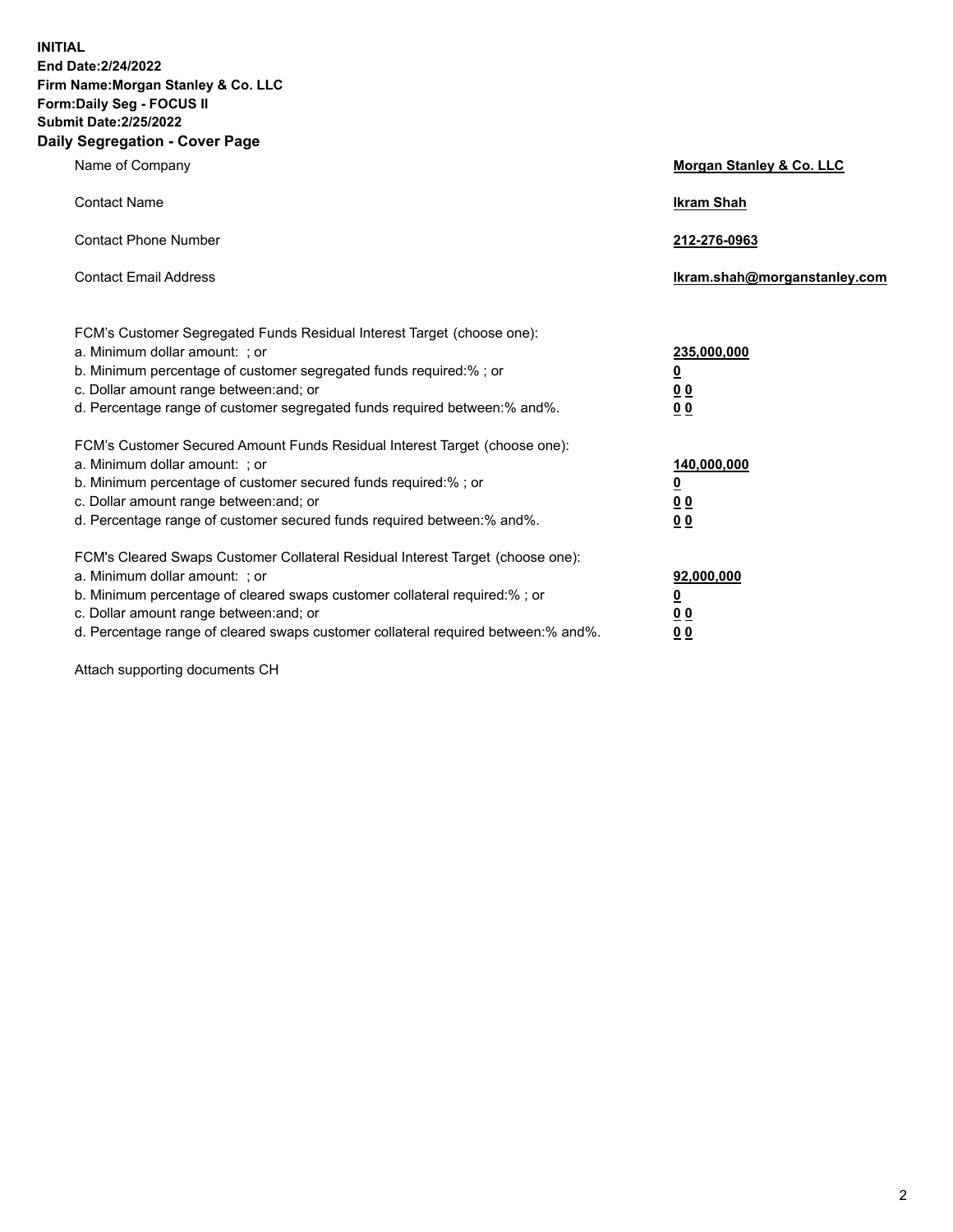**INITIAL End Date:2/24/2022 Firm Name:Morgan Stanley & Co. LLC Form:Daily Seg - FOCUS II Submit Date:2/25/2022 Daily Segregation - Cover Page**

| Name of Company                                                                                                                                                                                                                                                                                                                | Morgan Stanley & Co. LLC                               |
|--------------------------------------------------------------------------------------------------------------------------------------------------------------------------------------------------------------------------------------------------------------------------------------------------------------------------------|--------------------------------------------------------|
| <b>Contact Name</b>                                                                                                                                                                                                                                                                                                            | <b>Ikram Shah</b>                                      |
| <b>Contact Phone Number</b>                                                                                                                                                                                                                                                                                                    | 212-276-0963                                           |
| <b>Contact Email Address</b>                                                                                                                                                                                                                                                                                                   | Ikram.shah@morganstanley.com                           |
| FCM's Customer Segregated Funds Residual Interest Target (choose one):<br>a. Minimum dollar amount: ; or<br>b. Minimum percentage of customer segregated funds required:% ; or<br>c. Dollar amount range between: and; or<br>d. Percentage range of customer segregated funds required between:% and%.                         | 235,000,000<br><u>0</u><br>0 <sup>0</sup><br><u>00</u> |
| FCM's Customer Secured Amount Funds Residual Interest Target (choose one):<br>a. Minimum dollar amount: ; or<br>b. Minimum percentage of customer secured funds required:% ; or<br>c. Dollar amount range between: and; or<br>d. Percentage range of customer secured funds required between:% and%.                           | 140,000,000<br><u>0</u><br><u>00</u><br>00             |
| FCM's Cleared Swaps Customer Collateral Residual Interest Target (choose one):<br>a. Minimum dollar amount: ; or<br>b. Minimum percentage of cleared swaps customer collateral required:% ; or<br>c. Dollar amount range between: and; or<br>d. Percentage range of cleared swaps customer collateral required between:% and%. | 92,000,000<br><u>0</u><br><u>00</u><br>00              |

Attach supporting documents CH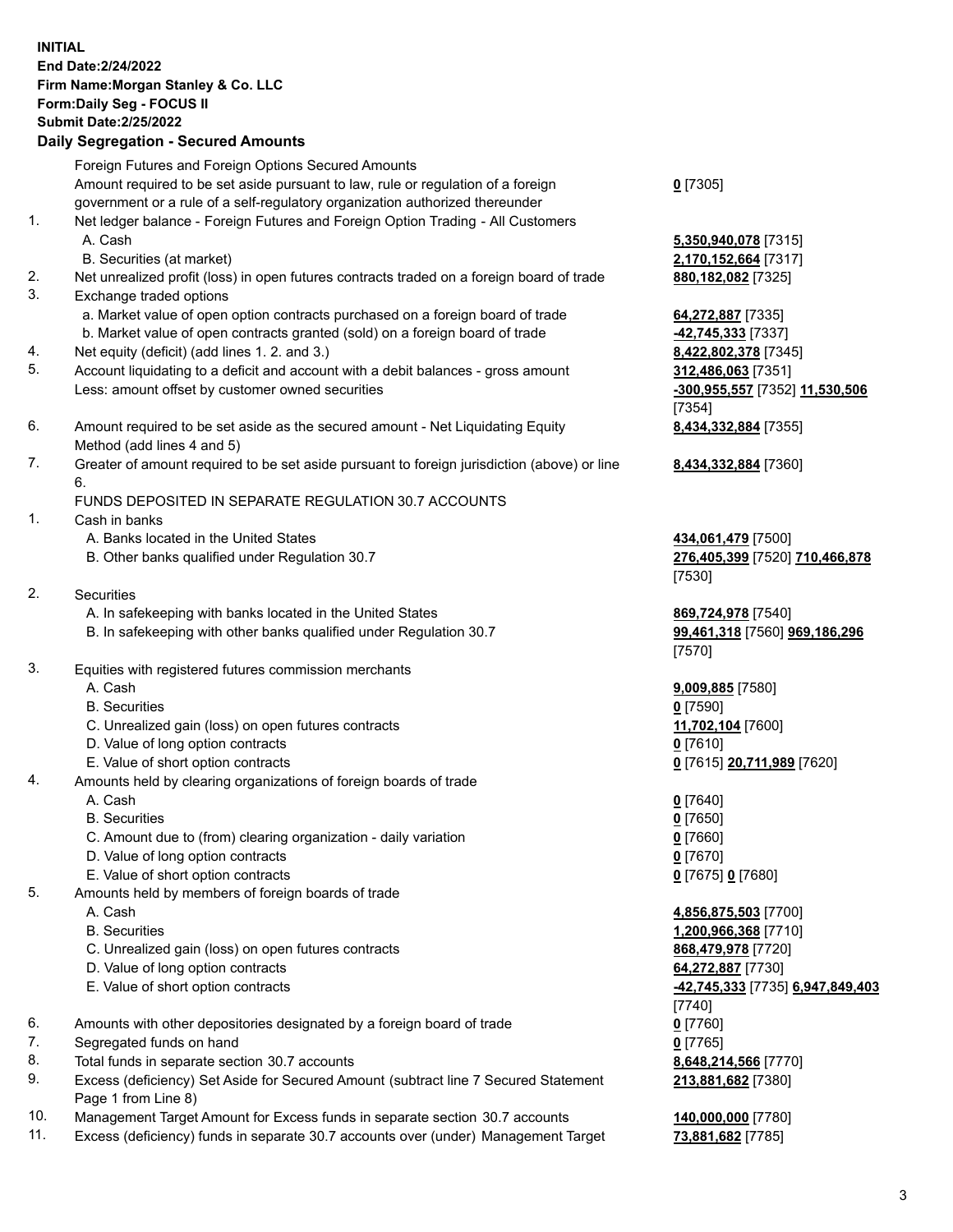## **INITIAL End Date:2/24/2022 Firm Name:Morgan Stanley & Co. LLC Form:Daily Seg - FOCUS II Submit Date:2/25/2022 Daily Segregation - Secured Amounts** Foreign Futures and Foreign Options Secured Amounts

Amount required to be set aside pursuant to law, rule or regulation of a foreign government or a rule of a self-regulatory organization authorized thereunder

- 1. Net ledger balance Foreign Futures and Foreign Option Trading All Customers A. Cash **5,350,940,078** [7315]
	- B. Securities (at market) **2,170,152,664** [7317]
- 2. Net unrealized profit (loss) in open futures contracts traded on a foreign board of trade **880,182,082** [7325]
- 3. Exchange traded options
	- a. Market value of open option contracts purchased on a foreign board of trade **64,272,887** [7335]
	- b. Market value of open contracts granted (sold) on a foreign board of trade **-42,745,333** [7337]
- 4. Net equity (deficit) (add lines 1. 2. and 3.) **8,422,802,378** [7345]
- 5. Account liquidating to a deficit and account with a debit balances gross amount **312,486,063** [7351] Less: amount offset by customer owned securities **-300,955,557** [7352] **11,530,506**
- 6. Amount required to be set aside as the secured amount Net Liquidating Equity Method (add lines 4 and 5)
- 7. Greater of amount required to be set aside pursuant to foreign jurisdiction (above) or line 6.

## FUNDS DEPOSITED IN SEPARATE REGULATION 30.7 ACCOUNTS

- 1. Cash in banks
	- A. Banks located in the United States **434,061,479** [7500]
	- B. Other banks qualified under Regulation 30.7 **276,405,399** [7520] **710,466,878**
- 2. Securities
	- A. In safekeeping with banks located in the United States **869,724,978** [7540]
	- B. In safekeeping with other banks qualified under Regulation 30.7 **99,461,318** [7560] **969,186,296**
- 3. Equities with registered futures commission merchants
	-
	- B. Securities **0** [7590]
	- C. Unrealized gain (loss) on open futures contracts **11,702,104** [7600]
	- D. Value of long option contracts **0** [7610]
	- E. Value of short option contracts **0** [7615] **20,711,989** [7620]
- 4. Amounts held by clearing organizations of foreign boards of trade
	- A. Cash **0** [7640]
	- B. Securities **0** [7650]
	- C. Amount due to (from) clearing organization daily variation **0** [7660]
	- D. Value of long option contracts **0** [7670]
	- E. Value of short option contracts **0** [7675] **0** [7680]
- 5. Amounts held by members of foreign boards of trade
	-
	-
	- C. Unrealized gain (loss) on open futures contracts **868,479,978** [7720]
	- D. Value of long option contracts **64,272,887** [7730]
	-
- 6. Amounts with other depositories designated by a foreign board of trade **0** [7760]
- 7. Segregated funds on hand **0** [7765]
- 8. Total funds in separate section 30.7 accounts **8,648,214,566** [7770]
- 9. Excess (deficiency) Set Aside for Secured Amount (subtract line 7 Secured Statement Page 1 from Line 8)
- 10. Management Target Amount for Excess funds in separate section 30.7 accounts **140,000,000** [7780]
- 11. Excess (deficiency) funds in separate 30.7 accounts over (under) Management Target **73,881,682** [7785]

**0** [7305]

[7354] **8,434,332,884** [7355]

**8,434,332,884** [7360]

[7530]

[7570]

A. Cash **9,009,885** [7580]

 A. Cash **4,856,875,503** [7700] B. Securities **1,200,966,368** [7710] E. Value of short option contracts **-42,745,333** [7735] **6,947,849,403** [7740] **213,881,682** [7380]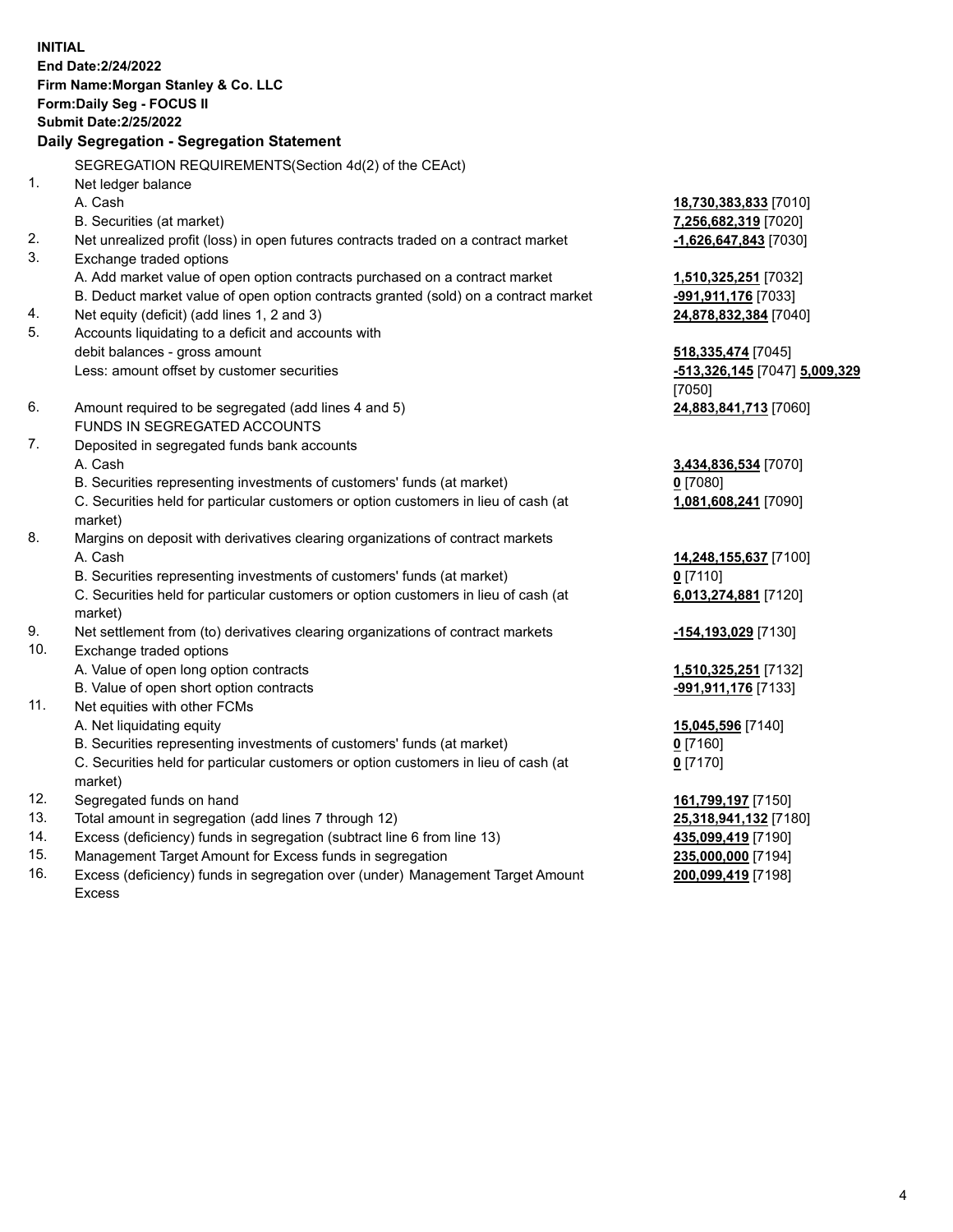**INITIAL End Date:2/24/2022 Firm Name:Morgan Stanley & Co. LLC Form:Daily Seg - FOCUS II Submit Date:2/25/2022 Daily Segregation - Segregation Statement** SEGREGATION REQUIREMENTS(Section 4d(2) of the CEAct) 1. Net ledger balance A. Cash **18,730,383,833** [7010] B. Securities (at market) **7,256,682,319** [7020] 2. Net unrealized profit (loss) in open futures contracts traded on a contract market **-1,626,647,843** [7030] 3. Exchange traded options A. Add market value of open option contracts purchased on a contract market **1,510,325,251** [7032] B. Deduct market value of open option contracts granted (sold) on a contract market **-991,911,176** [7033] 4. Net equity (deficit) (add lines 1, 2 and 3) **24,878,832,384** [7040] 5. Accounts liquidating to a deficit and accounts with debit balances - gross amount **518,335,474** [7045] Less: amount offset by customer securities **-513,326,145** [7047] **5,009,329** [7050] 6. Amount required to be segregated (add lines 4 and 5) **24,883,841,713** [7060] FUNDS IN SEGREGATED ACCOUNTS 7. Deposited in segregated funds bank accounts A. Cash **3,434,836,534** [7070] B. Securities representing investments of customers' funds (at market) **0** [7080] C. Securities held for particular customers or option customers in lieu of cash (at market) **1,081,608,241** [7090] 8. Margins on deposit with derivatives clearing organizations of contract markets A. Cash **14,248,155,637** [7100] B. Securities representing investments of customers' funds (at market) **0** [7110] C. Securities held for particular customers or option customers in lieu of cash (at market) **6,013,274,881** [7120] 9. Net settlement from (to) derivatives clearing organizations of contract markets **-154,193,029** [7130] 10. Exchange traded options A. Value of open long option contracts **1,510,325,251** [7132] B. Value of open short option contracts **-991,911,176** [7133] 11. Net equities with other FCMs A. Net liquidating equity **15,045,596** [7140] B. Securities representing investments of customers' funds (at market) **0** [7160] C. Securities held for particular customers or option customers in lieu of cash (at market) **0** [7170] 12. Segregated funds on hand **161,799,197** [7150] 13. Total amount in segregation (add lines 7 through 12) **25,318,941,132** [7180] 14. Excess (deficiency) funds in segregation (subtract line 6 from line 13) **435,099,419** [7190] 15. Management Target Amount for Excess funds in segregation **235,000,000** [7194]

16. Excess (deficiency) funds in segregation over (under) Management Target Amount Excess

**200,099,419** [7198]